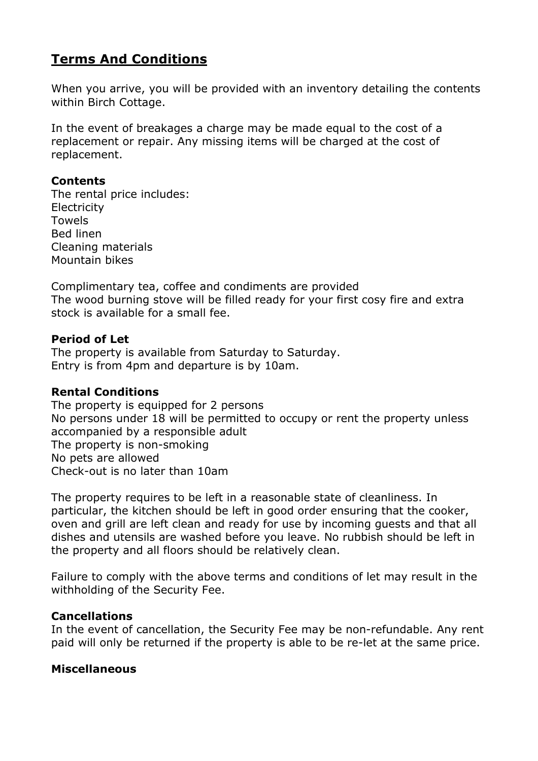# **Terms And Conditions**

When you arrive, you will be provided with an inventory detailing the contents within Birch Cottage.

In the event of breakages a charge may be made equal to the cost of a replacement or repair. Any missing items will be charged at the cost of replacement.

### **Contents**

The rental price includes: **Electricity** Towels Bed linen Cleaning materials Mountain bikes

Complimentary tea, coffee and condiments are provided The wood burning stove will be filled ready for your first cosy fire and extra stock is available for a small fee.

### **Period of Let**

The property is available from Saturday to Saturday. Entry is from 4pm and departure is by 10am.

### **Rental Conditions**

The property is equipped for 2 persons No persons under 18 will be permitted to occupy or rent the property unless accompanied by a responsible adult The property is non-smoking No pets are allowed Check-out is no later than 10am

The property requires to be left in a reasonable state of cleanliness. In particular, the kitchen should be left in good order ensuring that the cooker, oven and grill are left clean and ready for use by incoming guests and that all dishes and utensils are washed before you leave. No rubbish should be left in the property and all floors should be relatively clean.

Failure to comply with the above terms and conditions of let may result in the withholding of the Security Fee.

### **Cancellations**

In the event of cancellation, the Security Fee may be non-refundable. Any rent paid will only be returned if the property is able to be re-let at the same price.

### **Miscellaneous**